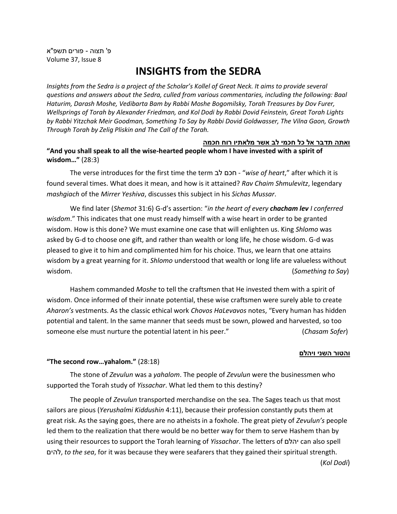פ' תצוה - פורים תשפ"א Volume 37, Issue 8

# **INSIGHTS from the SEDRA**

*Insights from the Sedra is a project of the Scholar's Kollel of Great Neck. It aims to provide several questions and answers about the Sedra, culled from various commentaries, including the following: Baal Haturim, Darash Moshe, Vedibarta Bam by Rabbi Moshe Bogomilsky, Torah Treasures by Dov Furer, Wellsprings of Torah by Alexander Friedman, and Kol Dodi by Rabbi Dovid Feinstein, Great Torah Lights by Rabbi Yitzchak Meir Goodman, Something To Say by Rabbi Dovid Goldwasser, The Vilna Gaon, Growth Through Torah by Zelig Pliskin and The Call of the Torah.*

## **ואתה תדבר אל כל חכמי לב אשר מלאתיו רוח חכמה**

**"And you shall speak to all the wise-hearted people whom I have invested with a spirit of wisdom…"** (28:3)

The verse introduces for the first time the term לב חכם -" *wise of heart*," after which it is found several times. What does it mean, and how is it attained? *Rav Chaim Shmulevitz*, legendary *mashgiach* of the *Mirrer Yeshiva*, discusses this subject in his *Sichas Mussar*.

We find later (*Shemot* 31:6) G-d's assertion: "*in the heart of every chacham lev I conferred wisdom*." This indicates that one must ready himself with a wise heart in order to be granted wisdom. How is this done? We must examine one case that will enlighten us. King *Shlomo* was asked by G-d to choose one gift, and rather than wealth or long life, he chose wisdom. G-d was pleased to give it to him and complimented him for his choice. Thus, we learn that one attains wisdom by a great yearning for it. *Shlomo* understood that wealth or long life are valueless without wisdom. (*Something to Say*)

Hashem commanded *Moshe* to tell the craftsmen that He invested them with a spirit of wisdom. Once informed of their innate potential, these wise craftsmen were surely able to create *Aharon's* vestments. As the classic ethical work *Chovos HaLevavos* notes, "Every human has hidden potential and talent. In the same manner that seeds must be sown, plowed and harvested, so too someone else must nurture the potential latent in his peer." (*Chasam Sofer*)

#### **והטור השני ויהלם**

#### **"The second row…yahalom."** (28:18)

The stone of *Zevulun* was a *yahalom*. The people of *Zevulun* were the businessmen who supported the Torah study of *Yissachar*. What led them to this destiny?

The people of *Zevulun* transported merchandise on the sea. The Sages teach us that most sailors are pious (*Yerushalmi Kiddushin* 4:11), because their profession constantly puts them at great risk. As the saying goes, there are no atheists in a foxhole. The great piety of *Zevulun's* people led them to the realization that there would be no better way for them to serve Hashem than by using their resources to support the Torah learning of *Yissachar*. The letters of יהלם can also spell להים, *to the sea*, for it was because they were seafarers that they gained their spiritual strength.

(*Kol Dodi*)